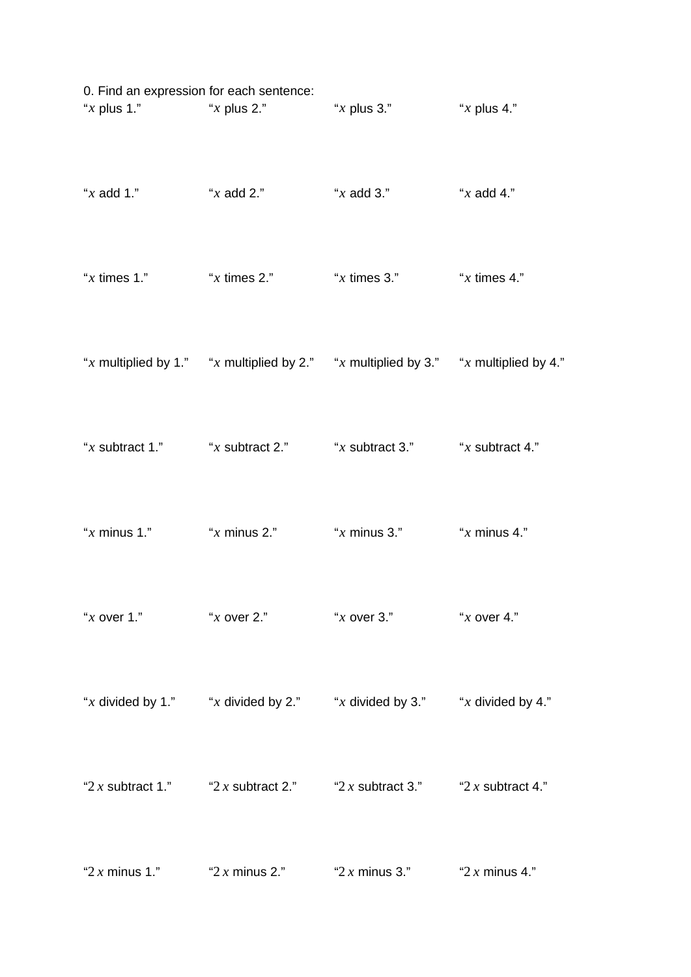| 0. Find an expression for each sentence: |                  |                                                                                               |                  |
|------------------------------------------|------------------|-----------------------------------------------------------------------------------------------|------------------|
|                                          |                  | "x plus 1." $x \times y$ "x plus 2." $x \times y$ "x plus 3." $x \times y$ "x plus 4."        |                  |
|                                          |                  |                                                                                               |                  |
|                                          |                  | "x times 1." $x \times x$ times 2." $x \times x$ times 3." $x \times x$ times 4."             |                  |
|                                          |                  | "x multiplied by 1." "x multiplied by 2." "x multiplied by 3." "x multiplied by 4."           |                  |
|                                          |                  | "x subtract 1." $x \times x$ subtract 2." $x \times x$ subtract 3." $x \times x$ subtract 4." |                  |
|                                          |                  | "x minus 1." $x \text{ minus } 2$ ." $x \text{ minus } 3$ ." $x \text{ minus } 4$ ."          |                  |
| " $x$ over 1."                           | " $x$ over 2."   | " $x$ over 3."                                                                                | " $x$ over 4."   |
|                                          |                  | "x divided by 1." "x divided by 2." "x divided by 3." "x divided by 4."                       |                  |
|                                          |                  |                                                                                               |                  |
| "2 $x$ minus 1."                         | "2 $x$ minus 2." | "2 $x$ minus 3."                                                                              | "2 $x$ minus 4." |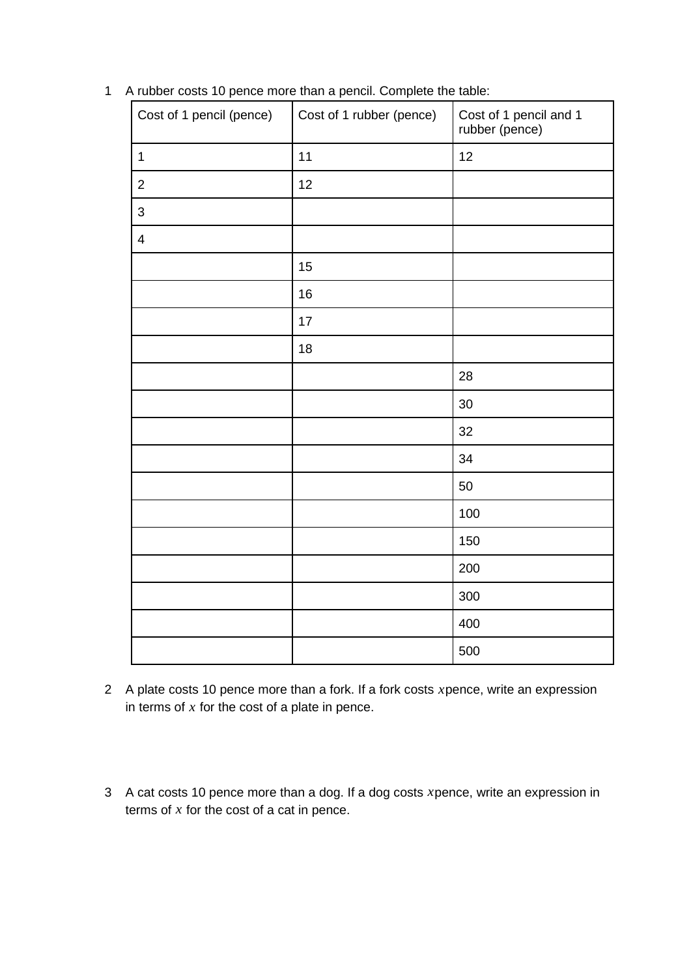| Cost of 1 pencil (pence) | Cost of 1 rubber (pence) | Cost of 1 pencil and 1<br>rubber (pence) |  |
|--------------------------|--------------------------|------------------------------------------|--|
| $\mathbf 1$              | 11                       | 12                                       |  |
| $\mathbf{2}$             | 12                       |                                          |  |
| 3                        |                          |                                          |  |
| $\pmb{4}$                |                          |                                          |  |
|                          | 15                       |                                          |  |
|                          | 16                       |                                          |  |
|                          | 17                       |                                          |  |
|                          | 18                       |                                          |  |
|                          |                          | 28                                       |  |
|                          |                          | 30                                       |  |
|                          |                          | 32                                       |  |
|                          |                          | 34                                       |  |
|                          |                          | 50                                       |  |
|                          |                          | 100                                      |  |
|                          |                          | 150                                      |  |
|                          |                          | 200                                      |  |
|                          |                          | 300                                      |  |
|                          |                          | 400                                      |  |
|                          |                          | 500                                      |  |

A rubber costs 10 pence more than a pencil. Complete the table:

- A plate costs 10 pence more than a fork. If a fork costs *x*pence, write an expression in terms of *x* for the cost of a plate in pence.
- A cat costs 10 pence more than a dog. If a dog costs *x*pence, write an expression in terms of *x* for the cost of a cat in pence.